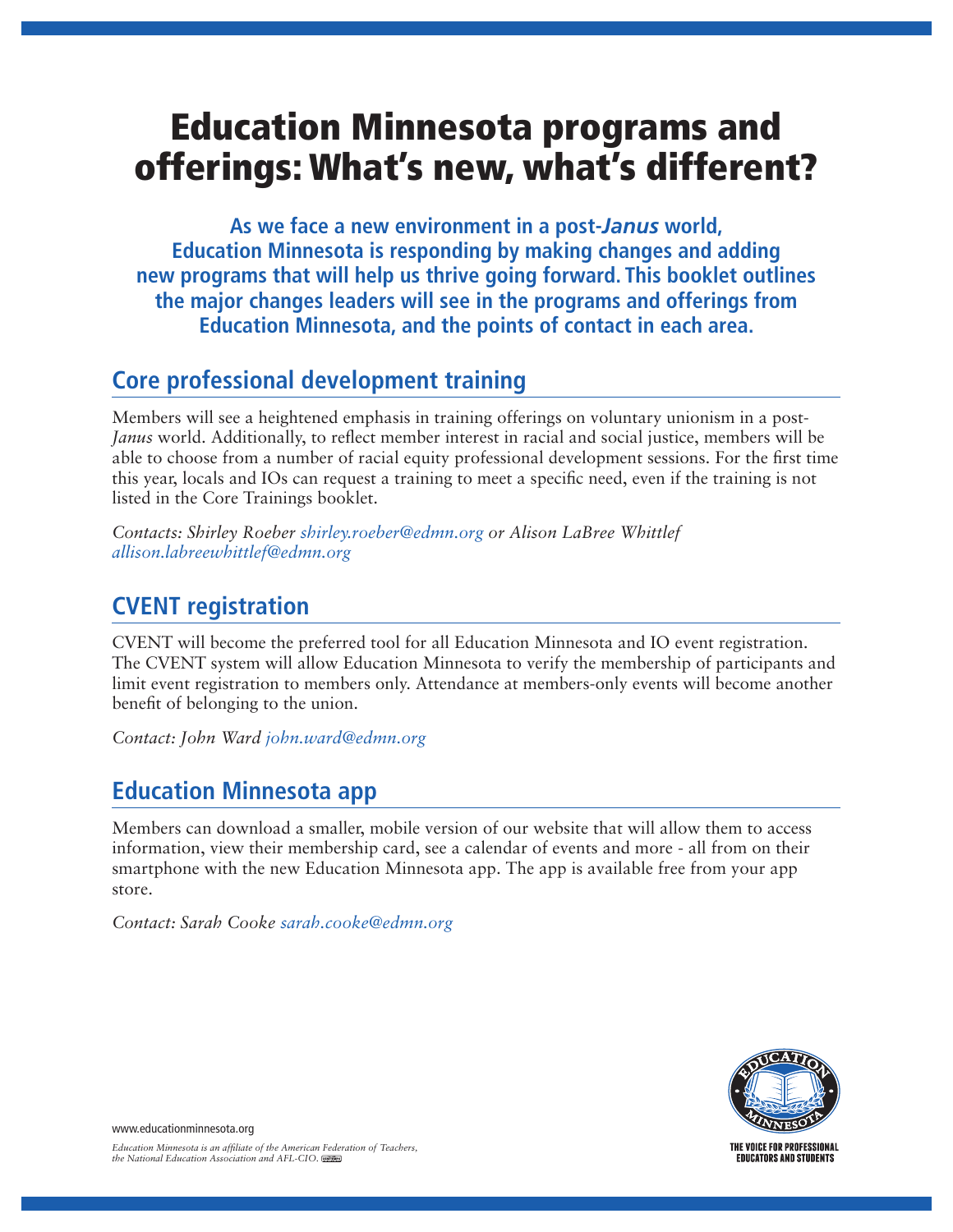# Education Minnesota programs and offerings: What's new, what's different?

**As we face a new environment in a post-***Janus* **world, Education Minnesota is responding by making changes and adding new programs that will help us thrive going forward. This booklet outlines the major changes leaders will see in the programs and offerings from Education Minnesota, and the points of contact in each area.**

# **Core professional development training**

Members will see a heightened emphasis in training offerings on voluntary unionism in a post-*Janus* world. Additionally, to reflect member interest in racial and social justice, members will be able to choose from a number of racial equity professional development sessions. For the first time this year, locals and IOs can request a training to meet a specific need, even if the training is not listed in the Core Trainings booklet.

*Contacts: Shirley Roeber shirley.roeber@edmn.org or Alison LaBree Whittlef allison.labreewhittlef@edmn.org*

# **CVENT registration**

CVENT will become the preferred tool for all Education Minnesota and IO event registration. The CVENT system will allow Education Minnesota to verify the membership of participants and limit event registration to members only. Attendance at members-only events will become another benefit of belonging to the union.

*Contact: John Ward john.ward@edmn.org*

# **Education Minnesota app**

Members can download a smaller, mobile version of our website that will allow them to access information, view their membership card, see a calendar of events and more - all from on their smartphone with the new Education Minnesota app. The app is available free from your app store.

*Contact: Sarah Cooke sarah.cooke@edmn.org*



www.educationminnesota.org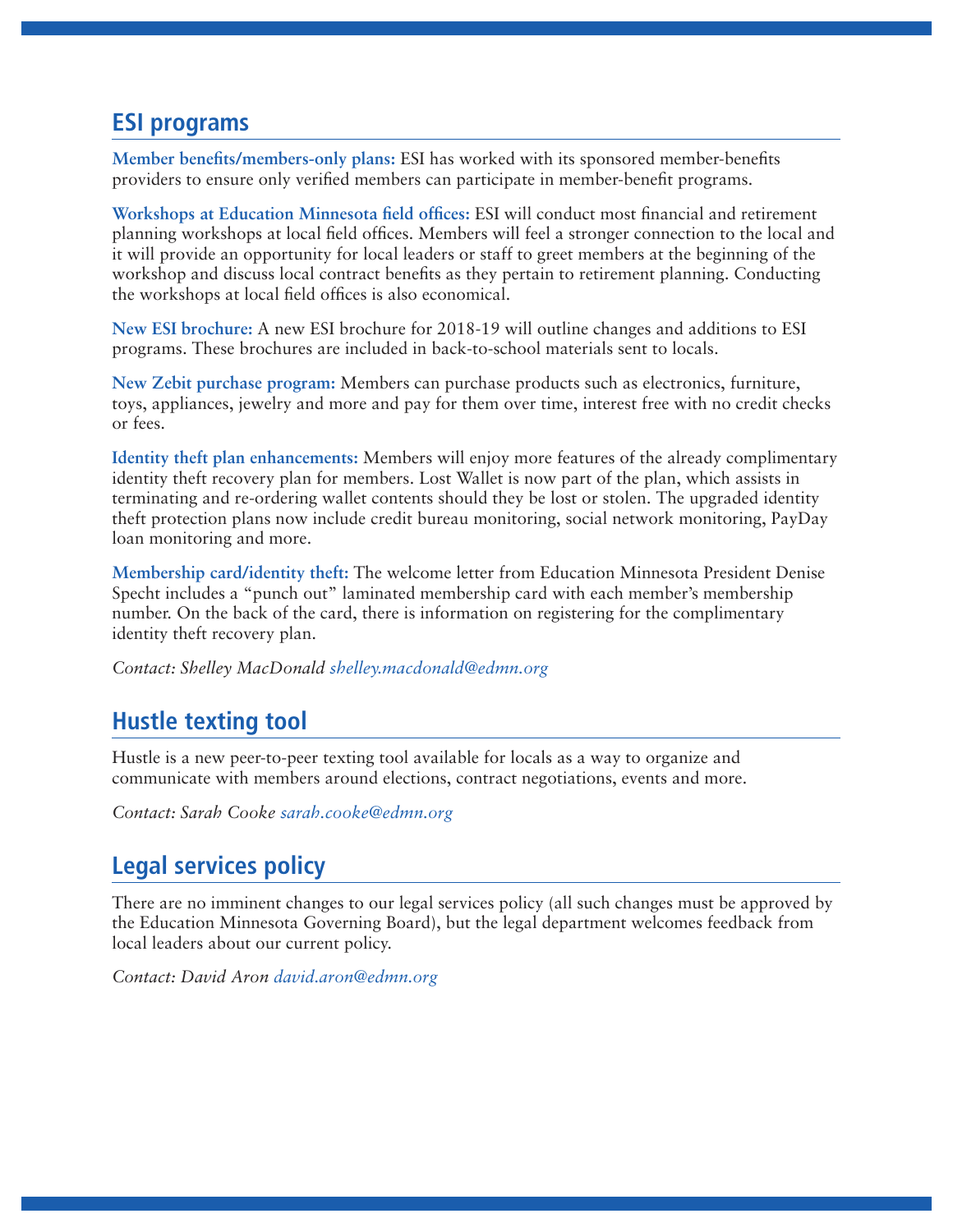#### **ESI programs**

**Member benefits/members-only plans:** ESI has worked with its sponsored member-benefits providers to ensure only verified members can participate in member-benefit programs.

**Workshops at Education Minnesota field offices:** ESI will conduct most financial and retirement planning workshops at local field offices. Members will feel a stronger connection to the local and it will provide an opportunity for local leaders or staff to greet members at the beginning of the workshop and discuss local contract benefits as they pertain to retirement planning. Conducting the workshops at local field offices is also economical.

**New ESI brochure:** A new ESI brochure for 2018-19 will outline changes and additions to ESI programs. These brochures are included in back-to-school materials sent to locals.

**New Zebit purchase program:** Members can purchase products such as electronics, furniture, toys, appliances, jewelry and more and pay for them over time, interest free with no credit checks or fees.

**Identity theft plan enhancements:** Members will enjoy more features of the already complimentary identity theft recovery plan for members. Lost Wallet is now part of the plan, which assists in terminating and re-ordering wallet contents should they be lost or stolen. The upgraded identity theft protection plans now include credit bureau monitoring, social network monitoring, PayDay loan monitoring and more.

**Membership card/identity theft:** The welcome letter from Education Minnesota President Denise Specht includes a "punch out" laminated membership card with each member's membership number. On the back of the card, there is information on registering for the complimentary identity theft recovery plan.

*Contact: Shelley MacDonald shelley.macdonald@edmn.org*

## **Hustle texting tool**

Hustle is a new peer-to-peer texting tool available for locals as a way to organize and communicate with members around elections, contract negotiations, events and more.

*Contact: Sarah Cooke sarah.cooke@edmn.org*

# **Legal services policy**

There are no imminent changes to our legal services policy (all such changes must be approved by the Education Minnesota Governing Board), but the legal department welcomes feedback from local leaders about our current policy.

*Contact: David Aron david.aron@edmn.org*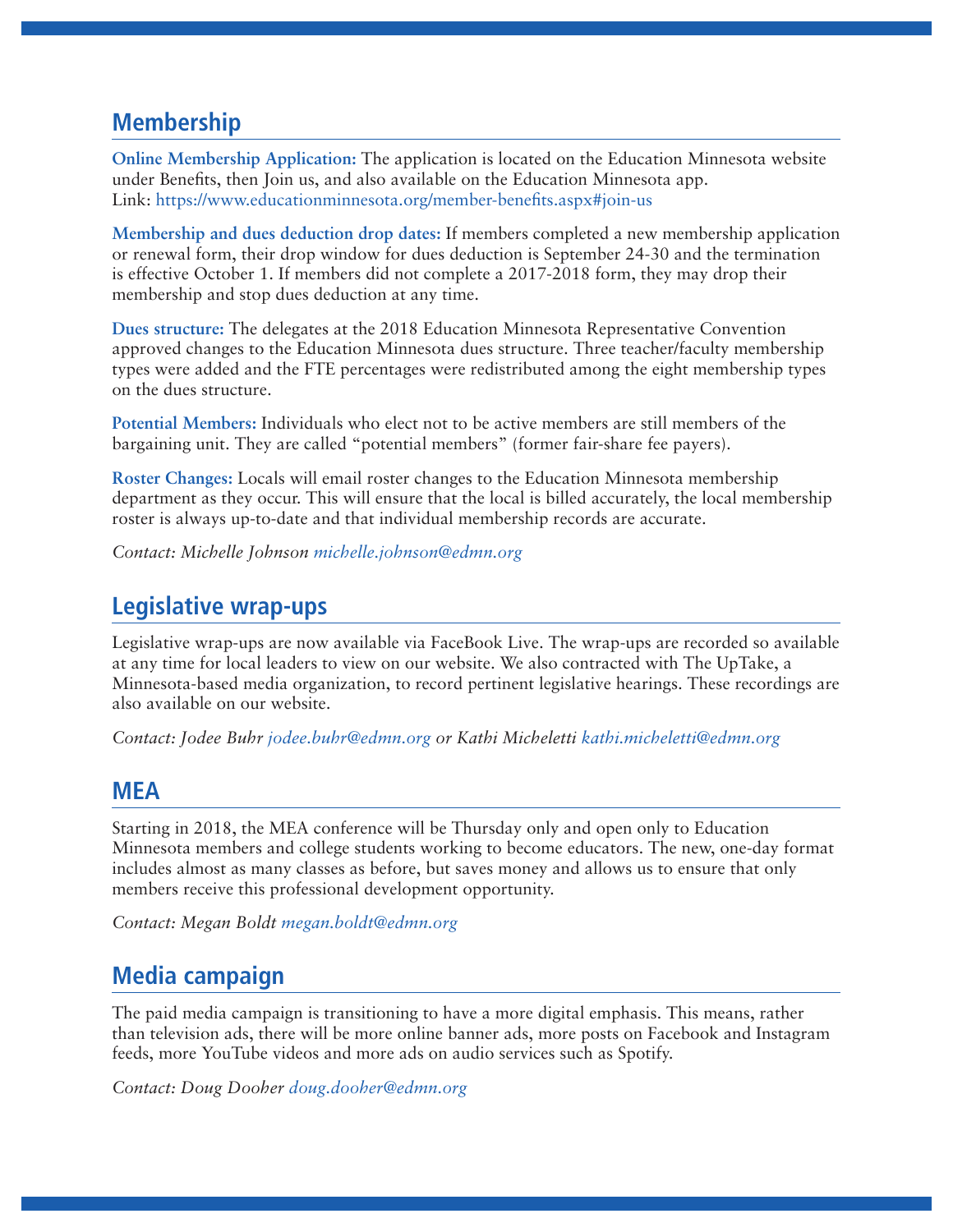#### **Membership**

**Online Membership Application:** The application is located on the Education Minnesota website under Benefits, then Join us, and also available on the Education Minnesota app. Link: https://www.educationminnesota.org/member-benefits.aspx#join-us

**Membership and dues deduction drop dates:** If members completed a new membership application or renewal form, their drop window for dues deduction is September 24-30 and the termination is effective October 1. If members did not complete a 2017-2018 form, they may drop their membership and stop dues deduction at any time.

**Dues structure:** The delegates at the 2018 Education Minnesota Representative Convention approved changes to the Education Minnesota dues structure. Three teacher/faculty membership types were added and the FTE percentages were redistributed among the eight membership types on the dues structure.

**Potential Members:** Individuals who elect not to be active members are still members of the bargaining unit. They are called "potential members" (former fair-share fee payers).

**Roster Changes:** Locals will email roster changes to the Education Minnesota membership department as they occur. This will ensure that the local is billed accurately, the local membership roster is always up-to-date and that individual membership records are accurate.

*Contact: Michelle Johnson michelle.johnson@edmn.org* 

#### **Legislative wrap-ups**

Legislative wrap-ups are now available via FaceBook Live. The wrap-ups are recorded so available at any time for local leaders to view on our website. We also contracted with The UpTake, a Minnesota-based media organization, to record pertinent legislative hearings. These recordings are also available on our website.

*Contact: Jodee Buhr jodee.buhr@edmn.org or Kathi Micheletti kathi.micheletti@edmn.org*

#### **MEA**

Starting in 2018, the MEA conference will be Thursday only and open only to Education Minnesota members and college students working to become educators. The new, one-day format includes almost as many classes as before, but saves money and allows us to ensure that only members receive this professional development opportunity.

*Contact: Megan Boldt megan.boldt@edmn.org*

#### **Media campaign**

The paid media campaign is transitioning to have a more digital emphasis. This means, rather than television ads, there will be more online banner ads, more posts on Facebook and Instagram feeds, more YouTube videos and more ads on audio services such as Spotify.

*Contact: Doug Dooher doug.dooher@edmn.org*